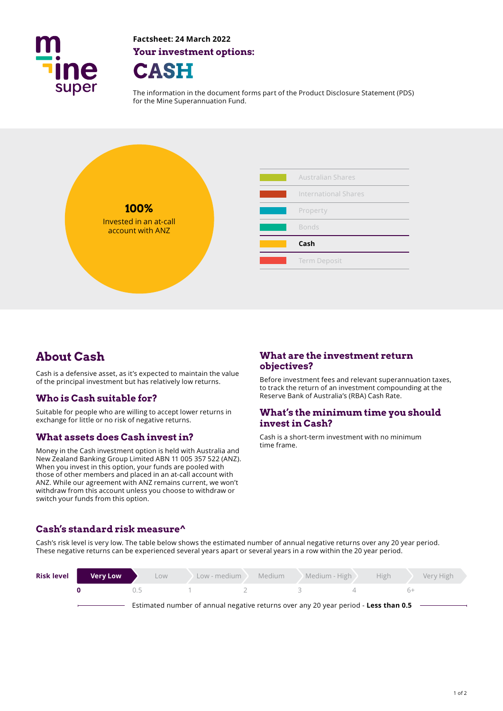

**Factsheet: 24 March 2022 Your investment options:** 



The information in the document forms part of the Product Disclosure Statement (PDS) for the Mine Superannuation Fund.



Cash is a defensive asset, as it's expected to maintain the value<br>
of the principal investment but has relatively low returns
Before investment fees and relevant superannuation taxes, of the principal investment but has relatively low returns.

## **Who is Cash suitable for?**

Money in the Cash investment option is held with Australia and New Zealand Banking Group Limited ABN 11 005 357 522 (ANZ). When you invest in this option, your funds are pooled with those of other members and placed in an at-call account with ANZ. While our agreement with ANZ remains current, we won't withdraw from this account unless you choose to withdraw or switch your funds from this option.

# About Cash **What are the investment return**<br>  $\omega$

to track the return of an investment compounding at the Reserve Bank of Australia's (RBA) Cash Rate.

# Suitable for people who are willing to accept lower returns in **What's the minimum time you should** exchange for little or no risk of negative returns. **invest in Cash?**

**What assets does Cash invest in?** Cash is a short-term investment with no minimum time frame.

### **Cash's standard risk measure^**

Cash's risk level is very low. The table below shows the estimated number of annual negative returns over any 20 year period. These negative returns can be experienced several years apart or several years in a row within the 20 year period.